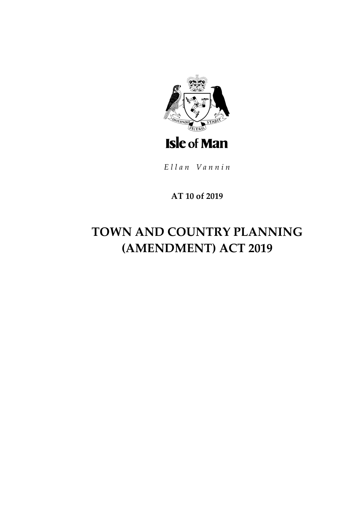

Ellan Vannin

## AT 10 of 2019

# TOWN AND COUNTRY PLANNING (AMENDMENT) ACT 2019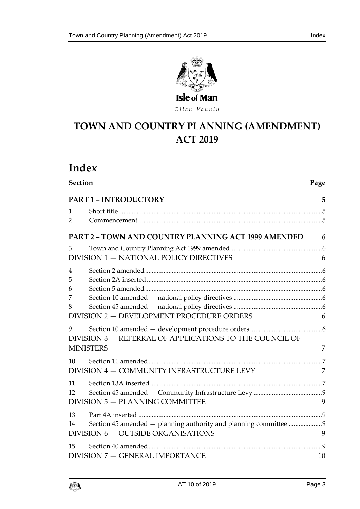

Ellan Vannin

## **TOWN AND COUNTRY PLA NNING (AMENDMENT) ACT 2019**

| Index                              |                                                                  |    |  |
|------------------------------------|------------------------------------------------------------------|----|--|
| <b>Section</b>                     |                                                                  |    |  |
| <b>PART 1 - INTRODUCTORY</b>       | <u> 1989 - Johann John Stone, Amerikaansk politiker (</u>        | 5  |  |
| 1                                  |                                                                  |    |  |
| 2                                  |                                                                  |    |  |
|                                    | <b>PART 2 - TOWN AND COUNTRY PLANNING ACT 1999 AMENDED</b>       | 6  |  |
| 3                                  |                                                                  |    |  |
|                                    | DIVISION 1 - NATIONAL POLICY DIRECTIVES                          | 6  |  |
| $\overline{4}$                     |                                                                  |    |  |
| 5                                  |                                                                  |    |  |
| 6<br>7                             |                                                                  |    |  |
| 8                                  |                                                                  |    |  |
|                                    | DIVISION 2 - DEVELOPMENT PROCEDURE ORDERS                        | 6  |  |
| 9                                  | DIVISION 3 - REFERRAL OF APPLICATIONS TO THE COUNCIL OF          |    |  |
| <b>MINISTERS</b>                   |                                                                  | 7  |  |
| 10                                 |                                                                  |    |  |
|                                    | DIVISION 4 - COMMUNITY INFRASTRUCTURE LEVY                       | 7  |  |
| 11                                 |                                                                  |    |  |
| 12                                 |                                                                  |    |  |
| DIVISION 5 - PLANNING COMMITTEE    |                                                                  | 9  |  |
| 13                                 |                                                                  |    |  |
| 14                                 | Section 45 amended - planning authority and planning committee 9 |    |  |
| DIVISION 6 - OUTSIDE ORGANISATIONS |                                                                  | 9  |  |
| 15                                 |                                                                  |    |  |
| DIVISION 7 - GENERAL IMPORTANCE    |                                                                  | 10 |  |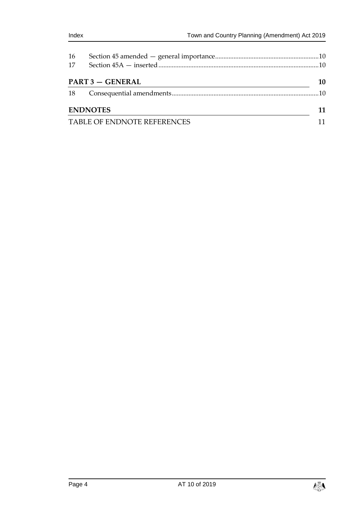| 16<br>17        |                             |    |  |
|-----------------|-----------------------------|----|--|
|                 | <b>PART 3 - GENERAL</b>     | 10 |  |
| 18              |                             |    |  |
| <b>ENDNOTES</b> |                             | 11 |  |
|                 | TABLE OF ENDNOTE REFERENCES |    |  |

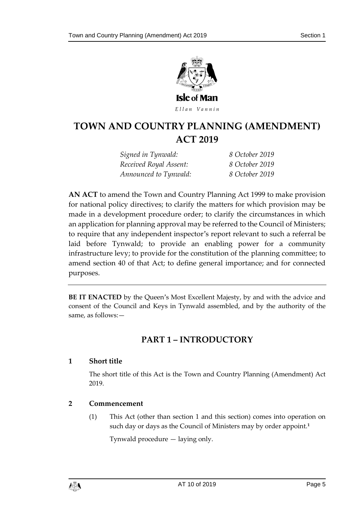

Ellan Vannin

## **TOWN AND COUNTRY PLA NNING (AMENDMENT) ACT 2019**

*Signed in Tynwald: 8 October 2019 Received Royal Assent: 8 October 2019 Announced to Tynwald: 8 October 2019*

**AN ACT** to amend the Town and Country Planning Act 1999 to make provision for national policy directives; to clarify the matters for which provision may be made in a development procedure order; to clarify the circumstances in which an application for planning approval may be referred to the Council of Ministers; to require that any independent inspector's report relevant to such a referral be laid before Tynwald; to provide an enabling power for a community infrastructure levy; to provide for the constitution of the planning committee; to amend section 40 of that Act; to define general importance; and for connected purposes.

<span id="page-4-0"></span>**BE IT ENACTED** by the Queen's Most Excellent Majesty, by and with the advice and consent of the Council and Keys in Tynwald assembled, and by the authority of the same, as follows:—

### **PART 1 – INTRODUCTORY**

#### <span id="page-4-1"></span>**1 Short title**

The short title of this Act is the Town and Country Planning (Amendment) Act 2019.

#### <span id="page-4-2"></span>**2 Commencement**

(1) This Act (other than section [1](#page-4-1) and this section) comes into operation on such day or days as the Council of Ministers may by order appoint.**<sup>1</sup>**

Tynwald procedure — laying only.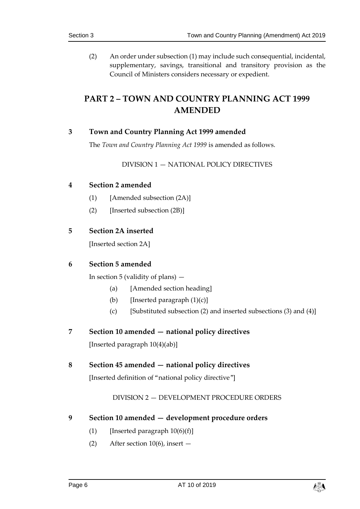(2) An order under subsection (1) may include such consequential, incidental, supplementary, savings, transitional and transitory provision as the Council of Ministers considers necessary or expedient.

## <span id="page-5-0"></span>**PART 2 – TOWN AND COUNTRY PLANNING ACT 1999 AMENDED**

#### <span id="page-5-2"></span><span id="page-5-1"></span>**3 Town and Country Planning Act 1999 amended**

The *Town and Country Planning Act 1999* is amended as follows.

#### DIVISION 1 — NATIONAL POLICY DIRECTIVES

#### <span id="page-5-3"></span>**4 Section 2 amended**

- (1) [Amended subsection (2A)]
- (2) [Inserted subsection (2B)]

#### <span id="page-5-4"></span>**5 Section 2A inserted**

[Inserted section 2A]

#### <span id="page-5-5"></span>**6 Section 5 amended**

In section 5 (validity of plans)  $-$ 

- (a) [Amended section heading]
- (b) [Inserted paragraph  $(1)(c)$ ]
- (c) [Substituted subsection (2) and inserted subsections (3) and (4)]

#### <span id="page-5-6"></span>**7 Section 10 amended — national policy directives**

[Inserted paragraph 10(4)(ab)]

#### <span id="page-5-8"></span><span id="page-5-7"></span>**8 Section 45 amended — national policy directives**

[Inserted definition of "national policy directive"]

#### DIVISION 2 — DEVELOPMENT PROCEDURE ORDERS

#### <span id="page-5-9"></span>**9 Section 10 amended — development procedure orders**

- (1) [Inserted paragraph  $10(6)(f)$ ]
- (2) After section 10(6), insert —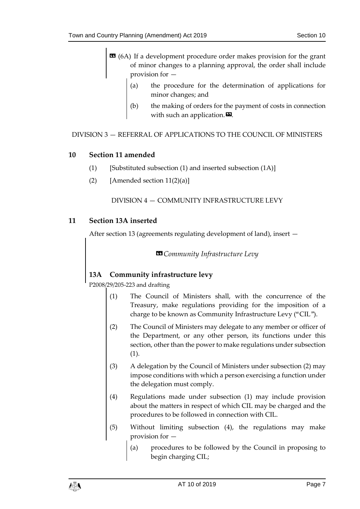- $\text{16A}$  (6A) If a development procedure order makes provision for the grant of minor changes to a planning approval, the order shall include provision for —
	- (a) the procedure for the determination of applications for minor changes; and
	- (b) the making of orders for the payment of costs in connection with such an application. $\boldsymbol{\mathsf{E}}$ .

#### <span id="page-6-1"></span><span id="page-6-0"></span>DIVISION 3 — REFERRAL OF APPLICATIONS TO THE COUNCIL OF MINISTERS

#### **10 Section 11 amended**

- (1) [Substituted subsection (1) and inserted subsection (1A)]
- <span id="page-6-2"></span>(2) [Amended section  $11(2)(a)$ ]

#### DIVISION 4 — COMMUNITY INFRASTRUCTURE LEVY

#### <span id="page-6-3"></span>**11 Section 13A inserted**

After section 13 (agreements regulating development of land), insert —

*«Community Infrastructure Levy*

#### **13A Community infrastructure levy**

P2008/29/205-223 and drafting

- (1) The Council of Ministers shall, with the concurrence of the Treasury, make regulations providing for the imposition of a charge to be known as Community Infrastructure Levy ("CIL").
- (2) The Council of Ministers may delegate to any member or officer of the Department, or any other person, its functions under this section, other than the power to make regulations under subsection (1).
- (3) A delegation by the Council of Ministers under subsection (2) may impose conditions with which a person exercising a function under the delegation must comply.
- (4) Regulations made under subsection (1) may include provision about the matters in respect of which CIL may be charged and the procedures to be followed in connection with CIL.
- (5) Without limiting subsection (4), the regulations may make provision for —
	- (a) procedures to be followed by the Council in proposing to begin charging CIL;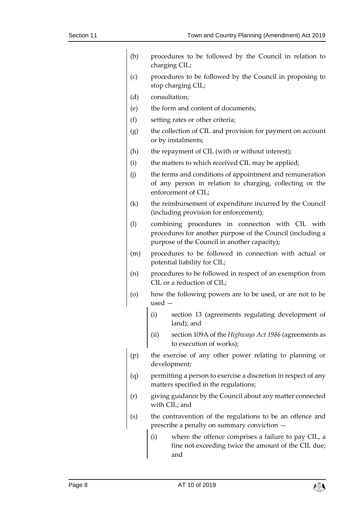| (b)     | procedures to be followed by the Council in relation to<br>charging CIL;                                                                                       |
|---------|----------------------------------------------------------------------------------------------------------------------------------------------------------------|
| (c)     | procedures to be followed by the Council in proposing to<br>stop charging CIL;                                                                                 |
| (d)     | consultation;                                                                                                                                                  |
| (e)     | the form and content of documents;                                                                                                                             |
| (f)     | setting rates or other criteria;                                                                                                                               |
| (g)     | the collection of CIL and provision for payment on account<br>or by instalments;                                                                               |
| (h)     | the repayment of CIL (with or without interest);                                                                                                               |
| (i)     | the matters to which received CIL may be applied;                                                                                                              |
| (i)     | the terms and conditions of appointment and remuneration<br>of any person in relation to charging, collecting or the<br>enforcement of CIL;                    |
| (k)     | the reimbursement of expenditure incurred by the Council<br>(including provision for enforcement);                                                             |
| (1)     | combining procedures in connection with CIL with<br>procedures for another purpose of the Council (including a<br>purpose of the Council in another capacity); |
| (m)     | procedures to be followed in connection with actual or<br>potential liability for CIL;                                                                         |
| (n)     | procedures to be followed in respect of an exemption from<br>CIL or a reduction of CIL;                                                                        |
| $\circ$ | how the following powers are to be used, or are not to be<br>$used -$                                                                                          |
|         | (i)<br>section 13 (agreements regulating development of<br>land); and                                                                                          |
|         | section 109A of the Highways Act 1986 (agreements as<br>(ii)<br>to execution of works);                                                                        |
| (p)     | the exercise of any other power relating to planning or<br>development;                                                                                        |
| (q)     | permitting a person to exercise a discretion in respect of any<br>matters specified in the regulations;                                                        |
| (r)     | giving guidance by the Council about any matter connected<br>with CIL; and                                                                                     |
| (s)     | the contravention of the regulations to be an offence and<br>prescribe a penalty on summary conviction -                                                       |
|         | where the offence comprises a failure to pay CIL, a<br>(i)<br>fine not exceeding twice the amount of the CIL due;<br>and                                       |

$$
\mathbb{A}^{\mathbb{Z}}_{\mathbb{Z}}
$$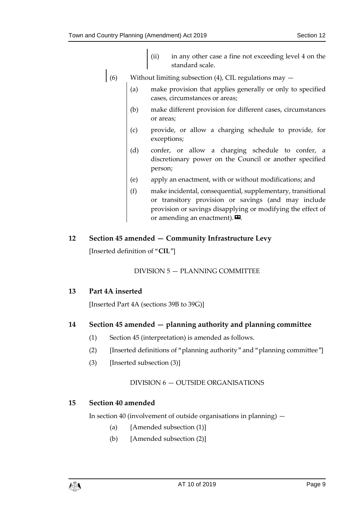- (ii) in any other case a fine not exceeding level 4 on the standard scale.
- (6) Without limiting subsection (4), CIL regulations may  $-$ 
	- (a) make provision that applies generally or only to specified cases, circumstances or areas;
	- (b) make different provision for different cases, circumstances or areas;
	- (c) provide, or allow a charging schedule to provide, for exceptions;
	- (d) confer, or allow a charging schedule to confer, a discretionary power on the Council or another specified person;
	- (e) apply an enactment, with or without modifications; and
	- (f) make incidental, consequential, supplementary, transitional or transitory provision or savings (and may include provision or savings disapplying or modifying the effect of or amending an enactment).  $\mathbf{D}$ .

#### <span id="page-8-1"></span><span id="page-8-0"></span>**12 Section 45 amended — Community Infrastructure Levy**

[Inserted definition of "**CIL**"]

DIVISION 5 — PLANNING COMMITTEE

#### <span id="page-8-2"></span>**13 Part 4A inserted**

[Inserted Part 4A (sections 39B to 39G)]

#### <span id="page-8-3"></span>**14 Section 45 amended — planning authority and planning committee**

- (1) Section 45 (interpretation) is amended as follows.
- (2) [Inserted definitions of "planning authority" and "planning committee"]
- <span id="page-8-4"></span>(3) [Inserted subsection (3)]

#### DIVISION 6 — OUTSIDE ORGANISATIONS

#### <span id="page-8-5"></span>**15 Section 40 amended**

In section 40 (involvement of outside organisations in planning) —

- (a) [Amended subsection (1)]
- (b) [Amended subsection (2)]

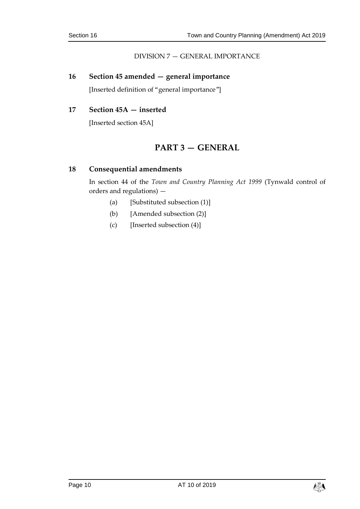#### DIVISION 7 — GENERAL IMPORTANCE

#### <span id="page-9-1"></span><span id="page-9-0"></span>**16 Section 45 amended — general importance**

[Inserted definition of "general importance"]

#### <span id="page-9-3"></span><span id="page-9-2"></span>**17 Section 45A — inserted**

[Inserted section 45A]

### **PART 3 — GENERAL**

#### <span id="page-9-4"></span>**18 Consequential amendments**

In section 44 of the *Town and Country Planning Act 1999* (Tynwald control of orders and regulations) —

- (a) [Substituted subsection (1)]
- (b) [Amended subsection (2)]
- (c) [Inserted subsection (4)]